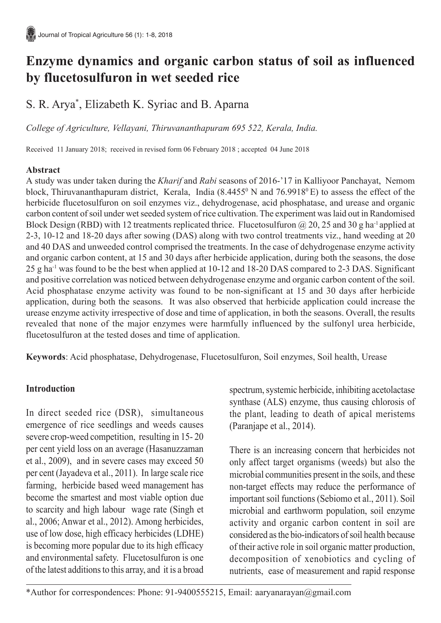# **Enzyme dynamics and organic carbon status of soil as influenced by flucetosulfuron in wet seeded rice**

# S. R. Arya\* , Elizabeth K. Syriac and B. Aparna

*College of Agriculture, Vellayani, Thiruvananthapuram 695 522, Kerala, India.*

Received 11 January 2018; received in revised form 06 February 2018 ; accepted 04 June 2018

### **Abstract**

A study was under taken during the *Kharif* and *Rabi* seasons of 2016-'17 in Kalliyoor Panchayat, Nemom block, Thiruvananthapuram district, Kerala, India  $(8.4455^{\circ} N$  and  $76.9918^{\circ} E)$  to assess the effect of the herbicide flucetosulfuron on soil enzymes viz., dehydrogenase, acid phosphatase, and urease and organic carbon content of soil under wet seeded system of rice cultivation. The experiment was laid out in Randomised Block Design (RBD) with 12 treatments replicated thrice. Flucetosulfuron  $\omega$  20, 25 and 30 g ha<sup>-1</sup> applied at 2-3, 10-12 and 18-20 days after sowing (DAS) along with two control treatments viz., hand weeding at 20 and 40 DAS and unweeded control comprised the treatments. In the case of dehydrogenase enzyme activity and organic carbon content, at 15 and 30 days after herbicide application, during both the seasons, the dose 25 g ha-1 was found to be the best when applied at 10-12 and 18-20 DAS compared to 2-3 DAS. Significant and positive correlation was noticed between dehydrogenase enzyme and organic carbon content of the soil. Acid phosphatase enzyme activity was found to be non-significant at 15 and 30 days after herbicide application, during both the seasons. It was also observed that herbicide application could increase the urease enzyme activity irrespective of dose and time of application, in both the seasons. Overall, the results revealed that none of the major enzymes were harmfully influenced by the sulfonyl urea herbicide, flucetosulfuron at the tested doses and time of application.

**Keywords**: Acid phosphatase, Dehydrogenase, Flucetosulfuron, Soil enzymes, Soil health, Urease

## **Introduction**

In direct seeded rice (DSR), simultaneous emergence of rice seedlings and weeds causes severe crop-weed competition, resulting in 15- 20 per cent yield loss on an average (Hasanuzzaman et al., 2009), and in severe cases may exceed 50 per cent (Jayadeva et al., 2011). In large scale rice farming, herbicide based weed management has become the smartest and most viable option due to scarcity and high labour wage rate (Singh et al., 2006; Anwar et al., 2012). Among herbicides, use of low dose, high efficacy herbicides (LDHE) is becoming more popular due to its high efficacy and environmental safety. Flucetosulfuron is one of the latest additions to this array, and it is a broad

spectrum, systemic herbicide, inhibiting acetolactase synthase (ALS) enzyme, thus causing chlorosis of the plant, leading to death of apical meristems (Paranjape et al., 2014).

There is an increasing concern that herbicides not only affect target organisms (weeds) but also the microbial communities present in the soils, and these non-target effects may reduce the performance of important soil functions (Sebiomo et al., 2011). Soil microbial and earthworm population, soil enzyme activity and organic carbon content in soil are considered as the bio-indicators of soil health because of their active role in soil organic matter production, decomposition of xenobiotics and cycling of nutrients, ease of measurement and rapid response

\*Author for correspondences: Phone: 91-9400555215, Email: aaryanarayan@gmail.com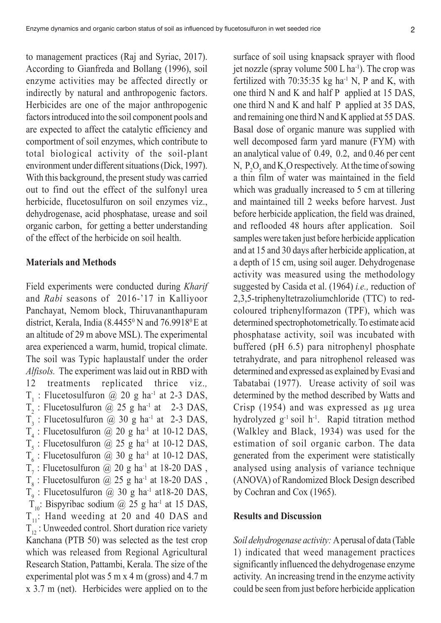to management practices (Raj and Syriac, 2017). According to Gianfreda and Bollang (1996), soil enzyme activities may be affected directly or indirectly by natural and anthropogenic factors. Herbicides are one of the major anthropogenic factors introduced into the soil component pools and are expected to affect the catalytic efficiency and comportment of soil enzymes, which contribute to total biological activity of the soil-plant environment under different situations (Dick, 1997). With this background, the present study was carried out to find out the effect of the sulfonyl urea herbicide, flucetosulfuron on soil enzymes viz., dehydrogenase, acid phosphatase, urease and soil organic carbon, for getting a better understanding of the effect of the herbicide on soil health.

#### **Materials and Methods**

Field experiments were conducted during *Kharif* and *Rabi* seasons of 2016-'17 in Kalliyoor Panchayat, Nemom block, Thiruvananthapuram district, Kerala, India  $(8.4455^{\circ} N$  and  $76.9918^{\circ} E$  at an altitude of 29 m above MSL). The experimental area experienced a warm, humid, tropical climate. The soil was Typic haplaustalf under the order *Alfisols.* The experiment was laid out in RBD with 12 treatments replicated thrice viz.*,*  $T_1$ : Flucetosulfuron @ 20 g ha<sup>-1</sup> at 2-3 DAS,  $T_2$ : Flucetosulfuron @ 25 g ha<sup>-1</sup> at 2-3 DAS,  $T_3$ : Flucetosulfuron @ 30 g ha<sup>-1</sup> at 2-3 DAS,  $T_4$ : Flucetosulfuron @ 20 g ha<sup>-1</sup> at 10-12 DAS,  $T_5$ : Flucetosulfuron @ 25 g ha<sup>-1</sup> at 10-12 DAS,  $T_6$ : Flucetosulfuron @ 30 g ha<sup>-1</sup> at 10-12 DAS,  $T_7$ : Flucetosulfuron @ 20 g ha<sup>-1</sup> at 18-20 DAS,  $T<sub>8</sub>$ : Flucetosulfuron @ 25 g ha<sup>-1</sup> at 18-20 DAS,  $T_9$ : Flucetosulfuron @ 30 g ha<sup>-1</sup> at18-20 DAS,  $T_{10}$ : Bispyribac sodium @ 25 g ha<sup>-1</sup> at 15 DAS,  $T_{11}$ : Hand weeding at 20 and 40 DAS and  $T_{12}$ : Unweeded control. Short duration rice variety Kanchana (PTB 50) was selected as the test crop which was released from Regional Agricultural Research Station, Pattambi, Kerala. The size of the experimental plot was 5 m x 4 m (gross) and 4.7 m x 3.7 m (net). Herbicides were applied on to the

surface of soil using knapsack sprayer with flood jet nozzle (spray volume  $500$  L ha<sup>-1</sup>). The crop was fertilized with  $70:35:35$  kg ha<sup>-1</sup> N, P and K, with one third N and K and half P applied at 15 DAS, one third N and K and half P applied at 35 DAS, and remaining one third N and K applied at 55 DAS. Basal dose of organic manure was supplied with well decomposed farm yard manure (FYM) with an analytical value of 0.49, 0.2, and 0.46 per cent N,  $P_2O_5$  and  $K_2O$  respectively. At the time of sowing a thin film of water was maintained in the field which was gradually increased to 5 cm at tillering and maintained till 2 weeks before harvest. Just before herbicide application, the field was drained, and reflooded 48 hours after application. Soil samples were taken just before herbicide application and at 15 and 30 days after herbicide application, at a depth of 15 cm, using soil auger. Dehydrogenase activity was measured using the methodology suggested by Casida et al. (1964) *i.e.,* reduction of 2,3,5-triphenyltetrazoliumchloride (TTC) to redcoloured triphenylformazon (TPF), which was determined spectrophotometrically. To estimate acid phosphatase activity, soil was incubated with buffered (pH 6.5) para nitrophenyl phosphate tetrahydrate, and para nitrophenol released was determined and expressed as explained by Evasi and Tabatabai (1977). Urease activity of soil was determined by the method described by Watts and Crisp (1954) and was expressed as µg urea hydrolyzed g<sup>-1</sup> soil h<sup>-1</sup>. Rapid titration method (Walkley and Black, 1934) was used for the estimation of soil organic carbon. The data generated from the experiment were statistically analysed using analysis of variance technique (ANOVA) of Randomized Block Design described by Cochran and Cox (1965).

#### **Results and Discussion**

*Soil dehydrogenase activity:* A perusal of data (Table 1) indicated that weed management practices significantly influenced the dehydrogenase enzyme activity. An increasing trend in the enzyme activity could be seen from just before herbicide application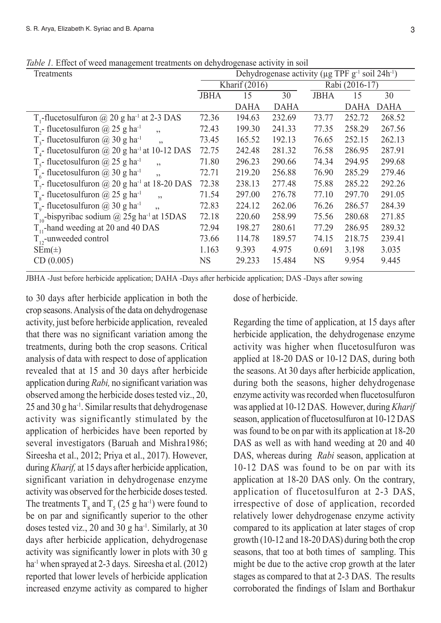| <i>lole 1</i> , Effect of weed management treatments on delly drogenase activity in son |                                                                               |               |             |             |                |        |  |
|-----------------------------------------------------------------------------------------|-------------------------------------------------------------------------------|---------------|-------------|-------------|----------------|--------|--|
| Treatments                                                                              | Dehydrogenase activity ( $\mu$ g TPF g <sup>-1</sup> soil 24h <sup>-1</sup> ) |               |             |             |                |        |  |
|                                                                                         |                                                                               | Kharif (2016) |             |             | Rabi (2016-17) |        |  |
|                                                                                         | <b>JBHA</b>                                                                   | 15            | 30          | <b>JBHA</b> | 15             | 30     |  |
|                                                                                         |                                                                               | <b>DAHA</b>   | <b>DAHA</b> |             | <b>DAHA</b>    | DAHA   |  |
| T <sub>1</sub> -flucetosulfuron $@$ 20 g ha <sup>-1</sup> at 2-3 DAS                    | 72.36                                                                         | 194.63        | 232.69      | 73.77       | 252.72         | 268.52 |  |
| T <sub>2</sub> - flucetosulfuron @ 25 g ha <sup>-1</sup><br>$\ddot{\phantom{0}}$        | 72.43                                                                         | 199.30        | 241.33      | 77.35       | 258.29         | 267.56 |  |
| $T_1$ - flucetosulfuron @ 30 g ha <sup>-1</sup><br>, 2                                  | 73.45                                                                         | 165.52        | 192.13      | 76.65       | 252.15         | 262.13 |  |
| $T_{4}$ - flucetosulfuron @ 20 g ha <sup>-1</sup> at 10-12 DAS                          | 72.75                                                                         | 242.48        | 281.32      | 76.58       | 286.95         | 287.91 |  |
| T <sub>s</sub> -flucetosulfuron @ 25 g ha <sup>-1</sup><br>$\ddot{\phantom{0}}$         | 71.80                                                                         | 296.23        | 290.66      | 74.34       | 294.95         | 299.68 |  |
| $T_c$ - flucetosulfuron @ 30 g ha <sup>-1</sup>                                         | 72.71                                                                         | 219.20        | 256.88      | 76.90       | 285.29         | 279.46 |  |
| $T7$ - flucetosulfuron @ 20 g ha <sup>-1</sup> at 18-20 DAS                             | 72.38                                                                         | 238.13        | 277.48      | 75.88       | 285.22         | 292.26 |  |
| $T_s$ - flucetosulfuron @ 25 g ha <sup>-1</sup><br>$\overline{\phantom{a}}$             | 71.54                                                                         | 297.00        | 276.78      | 77.10       | 297.70         | 291.05 |  |
| $T_{o}$ - flucetosulfuron @ 30 g ha <sup>-1</sup>                                       | 72.83                                                                         | 224.12        | 262.06      | 76.26       | 286.57         | 284.39 |  |
| $T_{10}$ -bispyribac sodium @ 25g ha <sup>-1</sup> at 15DAS                             | 72.18                                                                         | 220.60        | 258.99      | 75.56       | 280.68         | 271.85 |  |
| $T_{11}$ -hand weeding at 20 and 40 DAS                                                 | 72.94                                                                         | 198.27        | 280.61      | 77.29       | 286.95         | 289.32 |  |
| $T_{12}$ -unweeded control                                                              | 73.66                                                                         | 114.78        | 189.57      | 74.15       | 218.75         | 239.41 |  |
| $\text{SEm}(\pm)$                                                                       | 1.163                                                                         | 9.393         | 4.975       | 0.691       | 3.198          | 3.035  |  |

CD (0.005) NS 29.233 15.484 NS 9.954 9.445

*Table 1.* Effect of weed management treatments on dehydrogenase activity in soil

JBHA -Just before herbicide application; DAHA -Days after herbicide application; DAS -Days after sowing

to 30 days after herbicide application in both the crop seasons. Analysis of the data on dehydrogenase activity, just before herbicide application, revealed that there was no significant variation among the treatments, during both the crop seasons. Critical analysis of data with respect to dose of application revealed that at 15 and 30 days after herbicide application during *Rabi,* no significant variation was observed among the herbicide doses tested viz., 20, 25 and 30 g ha-1. Similar results that dehydrogenase activity was significantly stimulated by the application of herbicides have been reported by several investigators (Baruah and Mishra1986; Sireesha et al., 2012; Priya et al., 2017). However, during *Kharif,* at 15 days after herbicide application, significant variation in dehydrogenase enzyme activity was observed for the herbicide doses tested. The treatments  $T_8$  and  $T_5$  (25 g ha<sup>-1</sup>) were found to be on par and significantly superior to the other doses tested viz., 20 and 30 g ha<sup>-1</sup>. Similarly, at 30 days after herbicide application, dehydrogenase activity was significantly lower in plots with 30 g ha<sup>-1</sup> when sprayed at 2-3 days. Sireesha et al.  $(2012)$ reported that lower levels of herbicide application increased enzyme activity as compared to higher

dose of herbicide.

Regarding the time of application, at 15 days after herbicide application, the dehydrogenase enzyme activity was higher when flucetosulfuron was applied at 18-20 DAS or 10-12 DAS, during both the seasons. At 30 days after herbicide application, during both the seasons, higher dehydrogenase enzyme activity was recorded when flucetosulfuron was applied at 10-12 DAS. However, during *Kharif* season, application of flucetosulfuron at 10-12 DAS was found to be on par with its application at 18-20 DAS as well as with hand weeding at 20 and 40 DAS, whereas during *Rabi* season, application at 10-12 DAS was found to be on par with its application at 18-20 DAS only. On the contrary, application of flucetosulfuron at 2-3 DAS, irrespective of dose of application, recorded relatively lower dehydrogenase enzyme activity compared to its application at later stages of crop growth (10-12 and 18-20 DAS) during both the crop seasons, that too at both times of sampling. This might be due to the active crop growth at the later stages as compared to that at 2-3 DAS. The results corroborated the findings of Islam and Borthakur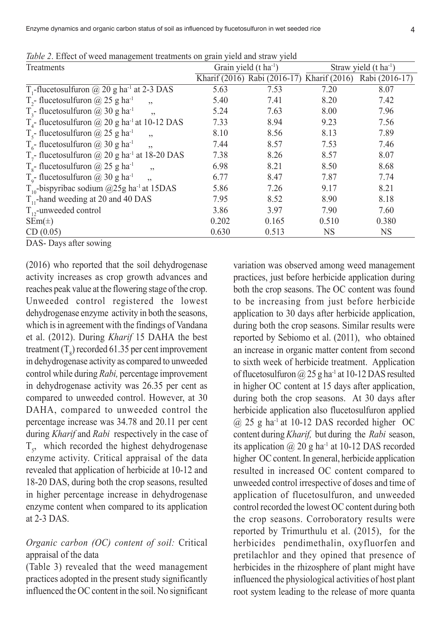Enzyme dynamics and organic carbon status of soil as influenced by flucetosulfuron in wet seeded rice

| <i>raole 2</i> , Effect of weed management treatments on grain yield and straw yield<br>Treatments |       | Grain yield (t ha <sup>-1</sup> ) | Straw yield $(t \text{ ha}^{-1})$ |                                                           |  |  |
|----------------------------------------------------------------------------------------------------|-------|-----------------------------------|-----------------------------------|-----------------------------------------------------------|--|--|
|                                                                                                    |       |                                   |                                   | Kharif (2016) Rabi (2016-17) Kharif (2016) Rabi (2016-17) |  |  |
| $T_1$ -flucetosulfuron @ 20 g ha <sup>-1</sup> at 2-3 DAS                                          | 5.63  | 7.53                              | 7.20                              | 8.07                                                      |  |  |
| T <sub>2</sub> - flucetosulfuron @ 25 g ha <sup>-1</sup><br>, 2                                    | 5.40  | 7.41                              | 8.20                              | 7.42                                                      |  |  |
| $T_3$ - flucetosulfuron @ 30 g ha <sup>-1</sup><br>$\ddot{\phantom{0}}$                            | 5.24  | 7.63                              | 8.00                              | 7.96                                                      |  |  |
| $T_{4}$ - flucetosulfuron @ 20 g ha <sup>-1</sup> at 10-12 DAS                                     | 7.33  | 8.94                              | 9.23                              | 7.56                                                      |  |  |
| T <sub>s</sub> -flucetosulfuron @ 25 g ha <sup>-1</sup><br>, 2                                     | 8.10  | 8.56                              | 8.13                              | 7.89                                                      |  |  |
| $T_{6}$ - flucetosulfuron @ 30 g ha <sup>-1</sup><br>, 2                                           | 7.44  | 8.57                              | 7.53                              | 7.46                                                      |  |  |
| $T_7$ - flucetosulfuron @ 20 g ha <sup>-1</sup> at 18-20 DAS                                       | 7.38  | 8.26                              | 8.57                              | 8.07                                                      |  |  |
| $T_s$ - flucetosulfuron @ 25 g ha <sup>-1</sup><br>, 2                                             | 6.98  | 8.21                              | 8.50                              | 8.68                                                      |  |  |
| $T_{\circ}$ - flucetosulfuron @ 30 g ha <sup>-1</sup><br>,,                                        | 6.77  | 8.47                              | 7.87                              | 7.74                                                      |  |  |
| $T_{10}$ -bispyribac sodium @25g ha <sup>-1</sup> at 15DAS                                         | 5.86  | 7.26                              | 9.17                              | 8.21                                                      |  |  |
| $T_{11}$ -hand weeding at 20 and 40 DAS                                                            | 7.95  | 8.52                              | 8.90                              | 8.18                                                      |  |  |
| $T_{12}$ -unweeded control                                                                         | 3.86  | 3.97                              | 7.90                              | 7.60                                                      |  |  |
| $SEm(\pm)$                                                                                         | 0.202 | 0.165                             | 0.510                             | 0.380                                                     |  |  |
| CD(0.05)                                                                                           | 0.630 | 0.513                             | <b>NS</b>                         | NS.                                                       |  |  |

*Table 2*. Effect of weed management treatments on grain yield and straw yield

DAS- Days after sowing

(2016) who reported that the soil dehydrogenase activity increases as crop growth advances and reaches peak value at the flowering stage of the crop. Unweeded control registered the lowest dehydrogenase enzyme activity in both the seasons, which is in agreement with the findings of Vandana et al. (2012). During *Kharif* 15 DAHA the best treatment ( $T_s$ ) recorded 61.35 per cent improvement in dehydrogenase activity as compared to unweeded control while during *Rabi,* percentage improvement in dehydrogenase activity was 26.35 per cent as compared to unweeded control. However, at 30 DAHA, compared to unweeded control the percentage increase was 34.78 and 20.11 per cent during *Kharif* and *Rabi* respectively in the case of  $T<sub>5</sub>$ , which recorded the highest dehydrogenase enzyme activity. Critical appraisal of the data revealed that application of herbicide at 10-12 and 18-20 DAS, during both the crop seasons, resulted in higher percentage increase in dehydrogenase enzyme content when compared to its application at 2-3 DAS.

### *Organic carbon (OC) content of soil:* Critical appraisal of the data

(Table 3) revealed that the weed management practices adopted in the present study significantly influenced the OC content in the soil. No significant variation was observed among weed management practices, just before herbicide application during both the crop seasons. The OC content was found to be increasing from just before herbicide application to 30 days after herbicide application, during both the crop seasons. Similar results were reported by Sebiomo et al. (2011), who obtained an increase in organic matter content from second to sixth week of herbicide treatment. Application of flucetosulfuron  $(a)$  25 g ha<sup>-1</sup> at 10-12 DAS resulted in higher OC content at 15 days after application, during both the crop seasons. At 30 days after herbicide application also flucetosulfuron applied  $(a)$  25 g ha<sup>-1</sup> at 10-12 DAS recorded higher OC content during *Kharif,* but during the *Rabi* season, its application  $\omega$  20 g ha<sup>-1</sup> at 10-12 DAS recorded higher OC content. In general, herbicide application resulted in increased OC content compared to unweeded control irrespective of doses and time of application of flucetosulfuron, and unweeded control recorded the lowest OC content during both the crop seasons. Corroboratory results were reported by Trimurthulu et al. (2015), for the herbicides pendimethalin, oxyfluorfen and pretilachlor and they opined that presence of herbicides in the rhizosphere of plant might have influenced the physiological activities of host plant root system leading to the release of more quanta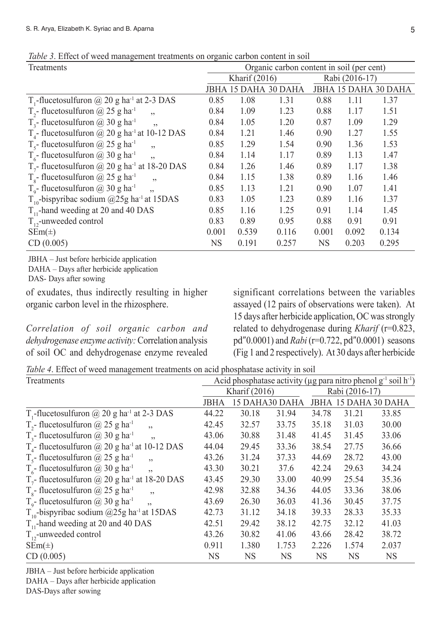| <i>Tuble 9</i> . Effect of weed management treatments on organic carbon content in son |                                           |       |                      |                |       |                      |  |
|----------------------------------------------------------------------------------------|-------------------------------------------|-------|----------------------|----------------|-------|----------------------|--|
| Treatments                                                                             | Organic carbon content in soil (per cent) |       |                      |                |       |                      |  |
|                                                                                        | Kharif $(2016)$                           |       |                      | Rabi (2016-17) |       |                      |  |
|                                                                                        |                                           |       | JBHA 15 DAHA 30 DAHA |                |       | JBHA 15 DAHA 30 DAHA |  |
| $T_1$ -flucetosulfuron @ 20 g ha <sup>-1</sup> at 2-3 DAS                              | 0.85                                      | 1.08  | 1.31                 | 0.88           | 1.11  | 1.37                 |  |
| T <sub>2</sub> -flucetosulfuron @ 25 g ha <sup>-1</sup><br>$\ddot{\phantom{0}}$        | 0.84                                      | 1.09  | 1.23                 | 0.88           | 1.17  | 1.51                 |  |
| T <sub>3</sub> - flucetosulfuron @ 30 g ha <sup>-1</sup><br>22                         | 0.84                                      | 1.05  | 1.20                 | 0.87           | 1.09  | 1.29                 |  |
| $T_{4}$ - flucetosulfuron @ 20 g ha <sup>-1</sup> at 10-12 DAS                         | 0.84                                      | 1.21  | 1.46                 | 0.90           | 1.27  | 1.55                 |  |
| T <sub>s</sub> -flucetosulfuron @ 25 g ha <sup>-1</sup><br>$\ddot{\phantom{0}}$        | 0.85                                      | 1.29  | 1.54                 | 0.90           | 1.36  | 1.53                 |  |
| $T_c$ - flucetosulfuron @ 30 g ha <sup>-1</sup><br>$\ddot{\phantom{0}}$                | 0.84                                      | 1.14  | 1.17                 | 0.89           | 1.13  | 1.47                 |  |
| $T7$ - flucetosulfuron @ 20 g ha <sup>-1</sup> at 18-20 DAS                            | 0.84                                      | 1.26  | 1.46                 | 0.89           | 1.17  | 1.38                 |  |
| $T_s$ - flucetosulfuron @ 25 g ha <sup>-1</sup><br>, 2                                 | 0.84                                      | 1.15  | 1.38                 | 0.89           | 1.16  | 1.46                 |  |
| $T_{\text{o}}$ - flucetosulfuron @ 30 g ha <sup>-1</sup><br>$\overline{\phantom{a}}$   | 0.85                                      | 1.13  | 1.21                 | 0.90           | 1.07  | 1.41                 |  |
| $T_{10}$ -bispyribac sodium @25g ha <sup>-1</sup> at 15DAS                             | 0.83                                      | 1.05  | 1.23                 | 0.89           | 1.16  | 1.37                 |  |
| $T_{11}$ -hand weeding at 20 and 40 DAS                                                | 0.85                                      | 1.16  | 1.25                 | 0.91           | 1.14  | 1.45                 |  |
| $T_{12}$ -unweeded control                                                             | 0.83                                      | 0.89  | 0.95                 | 0.88           | 0.91  | 0.91                 |  |
| $\text{SEm}(\pm)$                                                                      | 0.001                                     | 0.539 | 0.116                | 0.001          | 0.092 | 0.134                |  |
| CD(0.005)                                                                              | <b>NS</b>                                 | 0.191 | 0.257                | <b>NS</b>      | 0.203 | 0.295                |  |

*Table 3*. Effect of weed management treatments on organic carbon content in soil

JBHA – Just before herbicide application DAHA – Days after herbicide application DAS- Days after sowing

of exudates, thus indirectly resulting in higher organic carbon level in the rhizosphere.

*Correlation of soil organic carbon and dehydrogenase enzyme activity:*Correlation analysis of soil OC and dehydrogenase enzyme revealed

significant correlations between the variables assayed (12 pairs of observations were taken). At 15 days after herbicide application, OC was strongly related to dehydrogenase during *Kharif* (r=0.823, pd"0.0001) and *Rabi* (r=0.722, pd"0.0001) seasons (Fig 1 and 2 respectively). At 30 days after herbicide

*Table 4*. Effect of weed management treatments on acid phosphatase activity in soil

| Treatments                                                                  | Acid phosphatase activity (µg para nitro phenol g <sup>-1</sup> soil h <sup>-1</sup> ) |           |                |                |       |                      |
|-----------------------------------------------------------------------------|----------------------------------------------------------------------------------------|-----------|----------------|----------------|-------|----------------------|
|                                                                             | Kharif (2016)                                                                          |           |                | Rabi (2016-17) |       |                      |
|                                                                             | JBHA                                                                                   |           | 15 DAHA30 DAHA |                |       | JBHA 15 DAHA 30 DAHA |
| $T_1$ -flucetosulfuron @ 20 g ha <sup>-1</sup> at 2-3 DAS                   | 44.22                                                                                  | 30.18     | 31.94          | 34.78          | 31.21 | 33.85                |
| T <sub>2</sub> - flucetosulfuron @ 25 g ha <sup>-1</sup><br>, 2             | 42.45                                                                                  | 32.57     | 33.75          | 35.18          | 31.03 | 30.00                |
| $T_1$ - flucetosulfuron @ 30 g ha <sup>-1</sup><br>$\ddot{\phantom{0}}$     | 43.06                                                                                  | 30.88     | 31.48          | 41.45          | 31.45 | 33.06                |
| $T_{4}$ - flucetosulfuron @ 20 g ha <sup>-1</sup> at 10-12 DAS              | 44.04                                                                                  | 29.45     | 33.36          | 38.54          | 27.75 | 36.66                |
| T <sub>s</sub> -flucetosulfuron @ 25 g ha <sup>-1</sup><br>, 2              | 43.26                                                                                  | 31.24     | 37.33          | 44.69          | 28.72 | 43.00                |
| $T_{6}$ - flucetosulfuron @ 30 g ha <sup>-1</sup><br>,,                     | 43.30                                                                                  | 30.21     | 37.6           | 42.24          | 29.63 | 34.24                |
| $T7$ - flucetosulfuron @ 20 g ha <sup>-1</sup> at 18-20 DAS                 | 43.45                                                                                  | 29.30     | 33.00          | 40.99          | 25.54 | 35.36                |
| $T_s$ - flucetosulfuron @ 25 g ha <sup>-1</sup><br>$\overline{\phantom{a}}$ | 42.98                                                                                  | 32.88     | 34.36          | 44.05          | 33.36 | 38.06                |
| $T_{o}$ - flucetosulfuron @ 30 g ha <sup>-1</sup>                           | 43.69                                                                                  | 26.30     | 36.03          | 41.36          | 30.45 | 37.75                |
| $T_{10}$ -bispyribac sodium @25g ha <sup>-1</sup> at 15DAS                  | 42.73                                                                                  | 31.12     | 34.18          | 39.33          | 28.33 | 35.33                |
| $T_{11}$ -hand weeding at 20 and 40 DAS                                     | 42.51                                                                                  | 29.42     | 38.12          | 42.75          | 32.12 | 41.03                |
| $T_{12}$ -unweeded control                                                  | 43.26                                                                                  | 30.82     | 41.06          | 43.66          | 28.42 | 38.72                |
| $SEm(\pm)$                                                                  | 0.911                                                                                  | 1.380     | 1.753          | 2.226          | 1.574 | 2.037                |
| CD(0.005)                                                                   | <b>NS</b>                                                                              | <b>NS</b> | <b>NS</b>      | <b>NS</b>      | NS    | <b>NS</b>            |

JBHA – Just before herbicide application DAHA – Days after herbicide application DAS-Days after sowing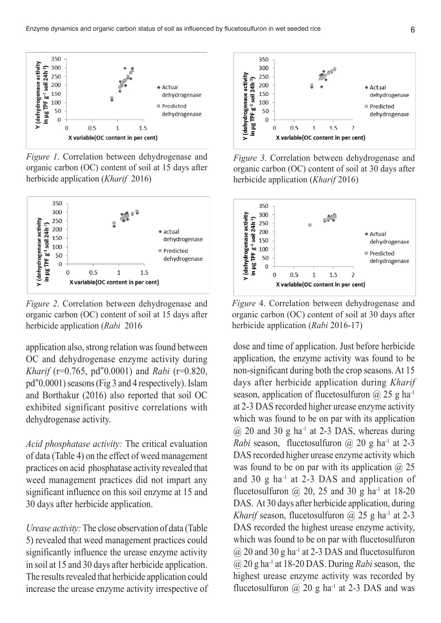

*Figure 1*. Correlation between dehydrogenase and organic carbon (OC) content of soil at 15 days after herbicide application (*Kharif* 2016)



*Figure 2*. Correlation between dehydrogenase and organic carbon (OC) content of soil at 15 days after herbicide application (*Rabi* 2016

application also, strong relation was found between OC and dehydrogenase enzyme activity during *Kharif* (r=0.765, pd"0.0001) and *Rabi* (r=0.820, pd"0.0001) seasons (Fig 3 and 4 respectively). Islam and Borthakur (2016) also reported that soil OC exhibited significant positive correlations with dehydrogenase activity.

*Acid phosphatase activity:* The critical evaluation of data (Table 4) on the effect of weed management practices on acid phosphatase activity revealed that weed management practices did not impart any significant influence on this soil enzyme at 15 and 30 days after herbicide application.

*Urease activity:* The close observation of data (Table 5) revealed that weed management practices could significantly influence the urease enzyme activity in soil at 15 and 30 days after herbicide application. The results revealed that herbicide application could increase the urease enzyme activity irrespective of



*Figure 3*. Correlation between dehydrogenase and organic carbon (OC) content of soil at 30 days after herbicide application (*Kharif* 2016)



*Figure* 4. Correlation between dehydrogenase and organic carbon (OC) content of soil at 30 days after herbicide application (*Rabi* 2016-17)

dose and time of application. Just before herbicide application, the enzyme activity was found to be non-significant during both the crop seasons. At 15 days after herbicide application during *Kharif* season, application of flucetosulfuron  $\omega$  25 g ha<sup>-1</sup> at 2-3 DAS recorded higher urease enzyme activity which was found to be on par with its application  $(a)$  20 and 30 g ha<sup>-1</sup> at 2-3 DAS, whereas during *Rabi* season, flucetosulfuron  $\omega$  20 g ha<sup>-1</sup> at 2-3 DAS recorded higher urease enzyme activity which was found to be on par with its application  $\omega$  25 and 30 g ha $^{-1}$  at 2-3 DAS and application of flucetosulfuron  $\omega$  20, 25 and 30 g ha<sup>-1</sup> at 18-20 DAS. At 30 days after herbicide application, during *Kharif* season, flucetosulfuron  $\omega$  25 g ha<sup>-1</sup> at 2-3 DAS recorded the highest urease enzyme activity, which was found to be on par with flucetosulfuron  $\omega$  20 and 30 g ha<sup>-1</sup> at 2-3 DAS and flucetosulfuron @ 20 g ha-1 at 18-20 DAS. During *Rabi* season, the highest urease enzyme activity was recorded by flucetosulfuron  $@$  20 g ha<sup>-1</sup> at 2-3 DAS and was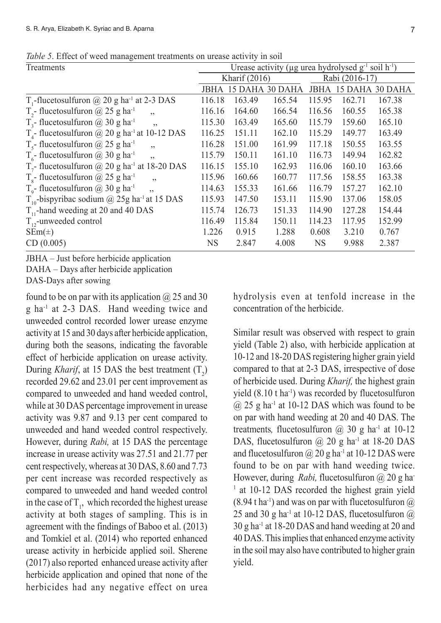| <u>2007 - 1211, 120 mars monogenem measurement en die de altres monographi</u> |                                                                     |                      |        |                |                      |        |  |
|--------------------------------------------------------------------------------|---------------------------------------------------------------------|----------------------|--------|----------------|----------------------|--------|--|
| Treatments                                                                     | Urease activity (µg urea hydrolysed $g^{-1}$ soil h <sup>-1</sup> ) |                      |        |                |                      |        |  |
|                                                                                | Kharif (2016)                                                       |                      |        | Rabi (2016-17) |                      |        |  |
|                                                                                |                                                                     | JBHA 15 DAHA 30 DAHA |        |                | JBHA 15 DAHA 30 DAHA |        |  |
| T <sub>1</sub> -flucetosulfuron $\omega$ 20 g ha <sup>-1</sup> at 2-3 DAS      | 116.18                                                              | 163.49               | 165.54 | 115.95         | 162.71               | 167.38 |  |
| T <sub>2</sub> - flucetosulfuron $\omega$ 25 g ha <sup>-1</sup><br>,           | 116.16                                                              | 164.60               | 166.54 | 116.56         | 160.55               | 165.38 |  |
| $T_{3}$ - flucetosulfuron @ 30 g ha <sup>-1</sup><br>$, \,$                    | 115.30                                                              | 163.49               | 165.60 | 115.79         | 159.60               | 165.10 |  |
| $T_{4}$ - flucetosulfuron @ 20 g ha <sup>-1</sup> at 10-12 DAS                 | 116.25                                                              | 151.11               | 162.10 | 115.29         | 149.77               | 163.49 |  |
| $T_s$ - flucetosulfuron @ 25 g ha <sup>-1</sup><br>, ,                         | 116.28                                                              | 151.00               | 161.99 | 117.18         | 150.55               | 163.55 |  |
| $T_{6}$ - flucetosulfuron @ 30 g ha <sup>-1</sup><br>, ,                       | 115.79                                                              | 150.11               | 161.10 | 116.73         | 149.94               | 162.82 |  |
| $T7$ - flucetosulfuron @ 20 g ha <sup>-1</sup> at 18-20 DAS                    | 116.15                                                              | 155.10               | 162.93 | 116.06         | 160.10               | 163.66 |  |
| $T_s$ - flucetosulfuron @ 25 g ha <sup>-1</sup><br>$\overline{\phantom{a}}$    | 115.96                                                              | 160.66               | 160.77 | 117.56         | 158.55               | 163.38 |  |
| $T_{o}$ - flucetosulfuron @ 30 g ha <sup>-1</sup><br>, ,                       | 114.63                                                              | 155.33               | 161.66 | 116.79         | 157.27               | 162.10 |  |
| $T_{10}$ -bispyribac sodium @ 25g ha <sup>-1</sup> at 15 DAS                   | 115.93                                                              | 147.50               | 153.11 | 115.90         | 137.06               | 158.05 |  |
| $T_{11}$ -hand weeding at 20 and 40 DAS                                        | 115.74                                                              | 126.73               | 151.33 | 114.90         | 127.28               | 154.44 |  |
| $T_{12}$ -unweeded control                                                     | 116.49                                                              | 115.84               | 150.11 | 114.23         | 117.95               | 152.99 |  |
| $SEm(\pm)$                                                                     | 1.226                                                               | 0.915                | 1.288  | 0.608          | 3.210                | 0.767  |  |
| CD(0.005)                                                                      | <b>NS</b>                                                           | 2.847                | 4.008  | <b>NS</b>      | 9.988                | 2.387  |  |
|                                                                                |                                                                     |                      |        |                |                      |        |  |

*Table 5*. Effect of weed management treatments on urease activity in soil

JBHA – Just before herbicide application DAHA – Days after herbicide application DAS-Days after sowing

found to be on par with its application  $(a)$  25 and 30 g ha-1 at 2-3 DAS. Hand weeding twice and unweeded control recorded lower urease enzyme activity at 15 and 30 days after herbicide application, during both the seasons, indicating the favorable effect of herbicide application on urease activity. During *Kharif*, at 15 DAS the best treatment  $(T_2)$ recorded 29.62 and 23.01 per cent improvement as compared to unweeded and hand weeded control, while at 30 DAS percentage improvement in urease activity was 9.87 and 9.13 per cent compared to unweeded and hand weeded control respectively. However, during *Rabi,* at 15 DAS the percentage increase in urease activity was 27.51 and 21.77 per cent respectively, whereas at 30 DAS, 8.60 and 7.73 per cent increase was recorded respectively as compared to unweeded and hand weeded control in the case of  $T_1$ , which recorded the highest urease activity at both stages of sampling. This is in agreement with the findings of Baboo et al. (2013) and Tomkiel et al. (2014) who reported enhanced urease activity in herbicide applied soil. Sherene (2017) also reported enhanced urease activity after herbicide application and opined that none of the herbicides had any negative effect on urea hydrolysis even at tenfold increase in the concentration of the herbicide.

Similar result was observed with respect to grain yield (Table 2) also, with herbicide application at 10-12 and 18-20 DAS registering higher grain yield compared to that at 2-3 DAS, irrespective of dose of herbicide used. During *Kharif,* the highest grain yield  $(8.10 \text{ t} \text{ ha}^{-1})$  was recorded by flucetosulfuron  $(a)$  25 g ha<sup>-1</sup> at 10-12 DAS which was found to be on par with hand weeding at 20 and 40 DAS. The treatments, flucetosulfuron  $(a)$  30 g ha<sup>-1</sup> at 10-12 DAS, flucetosulfuron  $\omega$  20 g ha<sup>-1</sup> at 18-20 DAS and flucetosulfuron  $\omega$  20 g ha<sup>-1</sup> at 10-12 DAS were found to be on par with hand weeding twice. However, during *Rabi*, flucetosulfuron @ 20 g ha-<sup>1</sup> at 10-12 DAS recorded the highest grain yield  $(8.94 \text{ tha}^{-1})$  and was on par with flucetosulfuron  $\omega$ 25 and 30 g ha<sup>-1</sup> at 10-12 DAS, flucetosulfuron  $(a)$ 30 g ha-1 at 18-20 DAS and hand weeding at 20 and 40 DAS. This implies that enhanced enzyme activity in the soil may also have contributed to higher grain yield.